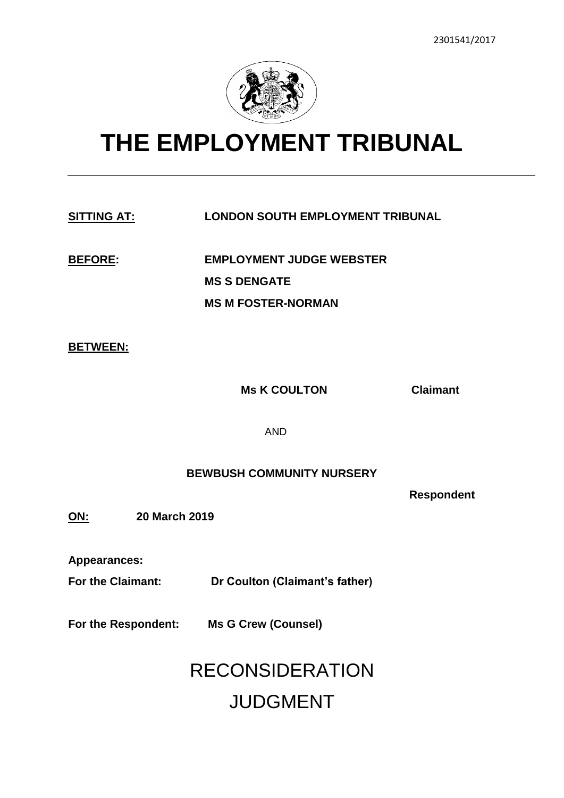

# **THE EMPLOYMENT TRIBUNAL**

### **SITTING AT: LONDON SOUTH EMPLOYMENT TRIBUNAL**

**BEFORE: EMPLOYMENT JUDGE WEBSTER MS S DENGATE MS M FOSTER-NORMAN**

### **BETWEEN:**

**Ms K COULTON Claimant**

AND

### **BEWBUSH COMMUNITY NURSERY**

**Respondent** 

**ON: 20 March 2019**

**Appearances:**

**For the Claimant: Dr Coulton (Claimant's father)**

**For the Respondent: Ms G Crew (Counsel)**

## RECONSIDERATION JUDGMENT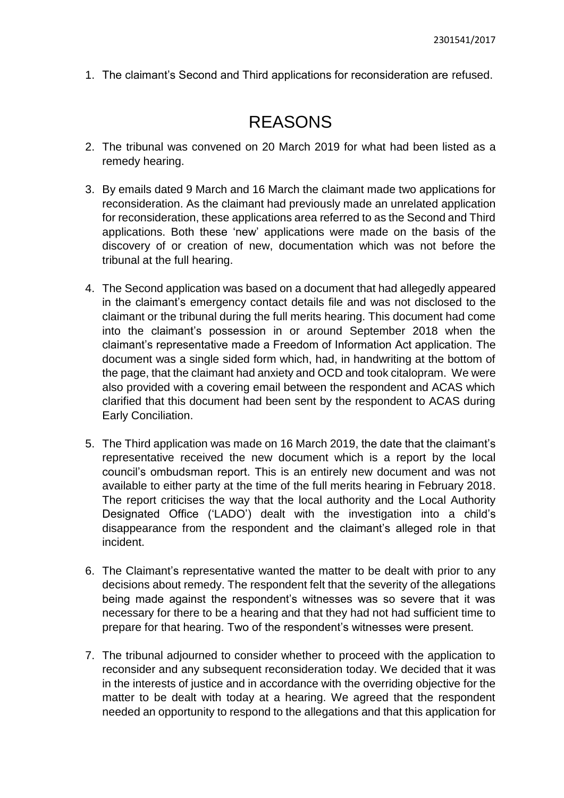1. The claimant's Second and Third applications for reconsideration are refused.

### REASONS

- 2. The tribunal was convened on 20 March 2019 for what had been listed as a remedy hearing.
- 3. By emails dated 9 March and 16 March the claimant made two applications for reconsideration. As the claimant had previously made an unrelated application for reconsideration, these applications area referred to as the Second and Third applications. Both these 'new' applications were made on the basis of the discovery of or creation of new, documentation which was not before the tribunal at the full hearing.
- 4. The Second application was based on a document that had allegedly appeared in the claimant's emergency contact details file and was not disclosed to the claimant or the tribunal during the full merits hearing. This document had come into the claimant's possession in or around September 2018 when the claimant's representative made a Freedom of Information Act application. The document was a single sided form which, had, in handwriting at the bottom of the page, that the claimant had anxiety and OCD and took citalopram. We were also provided with a covering email between the respondent and ACAS which clarified that this document had been sent by the respondent to ACAS during Early Conciliation.
- 5. The Third application was made on 16 March 2019, the date that the claimant's representative received the new document which is a report by the local council's ombudsman report. This is an entirely new document and was not available to either party at the time of the full merits hearing in February 2018. The report criticises the way that the local authority and the Local Authority Designated Office ('LADO') dealt with the investigation into a child's disappearance from the respondent and the claimant's alleged role in that incident.
- 6. The Claimant's representative wanted the matter to be dealt with prior to any decisions about remedy. The respondent felt that the severity of the allegations being made against the respondent's witnesses was so severe that it was necessary for there to be a hearing and that they had not had sufficient time to prepare for that hearing. Two of the respondent's witnesses were present.
- 7. The tribunal adjourned to consider whether to proceed with the application to reconsider and any subsequent reconsideration today. We decided that it was in the interests of justice and in accordance with the overriding objective for the matter to be dealt with today at a hearing. We agreed that the respondent needed an opportunity to respond to the allegations and that this application for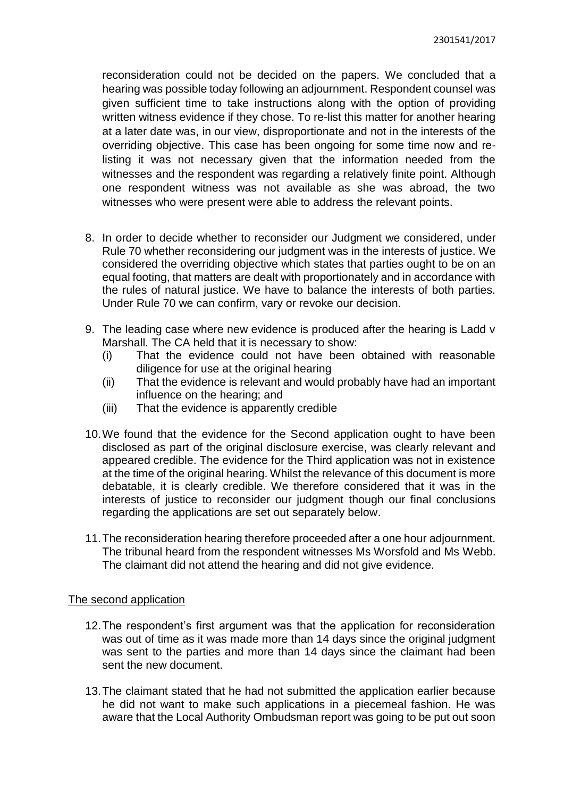reconsideration could not be decided on the papers. We concluded that a hearing was possible today following an adjournment. Respondent counsel was given sufficient time to take instructions along with the option of providing written witness evidence if they chose. To re-list this matter for another hearing at a later date was, in our view, disproportionate and not in the interests of the overriding objective. This case has been ongoing for some time now and relisting it was not necessary given that the information needed from the witnesses and the respondent was regarding a relatively finite point. Although one respondent witness was not available as she was abroad, the two witnesses who were present were able to address the relevant points.

- 8. In order to decide whether to reconsider our Judgment we considered, under Rule 70 whether reconsidering our judgment was in the interests of justice. We considered the overriding objective which states that parties ought to be on an equal footing, that matters are dealt with proportionately and in accordance with the rules of natural justice. We have to balance the interests of both parties. Under Rule 70 we can confirm, vary or revoke our decision.
- 9. The leading case where new evidence is produced after the hearing is Ladd v Marshall. The CA held that it is necessary to show:
	- (i) That the evidence could not have been obtained with reasonable diligence for use at the original hearing
	- (ii) That the evidence is relevant and would probably have had an important influence on the hearing; and
	- (iii) That the evidence is apparently credible
- 10.We found that the evidence for the Second application ought to have been disclosed as part of the original disclosure exercise, was clearly relevant and appeared credible. The evidence for the Third application was not in existence at the time of the original hearing. Whilst the relevance of this document is more debatable, it is clearly credible. We therefore considered that it was in the interests of justice to reconsider our judgment though our final conclusions regarding the applications are set out separately below.
- 11.The reconsideration hearing therefore proceeded after a one hour adjournment. The tribunal heard from the respondent witnesses Ms Worsfold and Ms Webb. The claimant did not attend the hearing and did not give evidence.

### The second application

- 12.The respondent's first argument was that the application for reconsideration was out of time as it was made more than 14 days since the original judgment was sent to the parties and more than 14 days since the claimant had been sent the new document.
- 13.The claimant stated that he had not submitted the application earlier because he did not want to make such applications in a piecemeal fashion. He was aware that the Local Authority Ombudsman report was going to be put out soon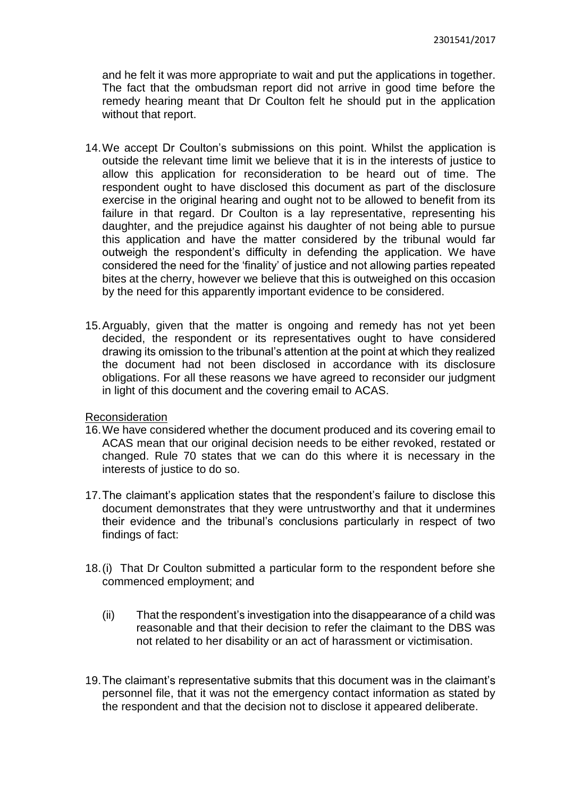and he felt it was more appropriate to wait and put the applications in together. The fact that the ombudsman report did not arrive in good time before the remedy hearing meant that Dr Coulton felt he should put in the application without that report.

- 14.We accept Dr Coulton's submissions on this point. Whilst the application is outside the relevant time limit we believe that it is in the interests of justice to allow this application for reconsideration to be heard out of time. The respondent ought to have disclosed this document as part of the disclosure exercise in the original hearing and ought not to be allowed to benefit from its failure in that regard. Dr Coulton is a lay representative, representing his daughter, and the prejudice against his daughter of not being able to pursue this application and have the matter considered by the tribunal would far outweigh the respondent's difficulty in defending the application. We have considered the need for the 'finality' of justice and not allowing parties repeated bites at the cherry, however we believe that this is outweighed on this occasion by the need for this apparently important evidence to be considered.
- 15.Arguably, given that the matter is ongoing and remedy has not yet been decided, the respondent or its representatives ought to have considered drawing its omission to the tribunal's attention at the point at which they realized the document had not been disclosed in accordance with its disclosure obligations. For all these reasons we have agreed to reconsider our judgment in light of this document and the covering email to ACAS.

### Reconsideration

- 16.We have considered whether the document produced and its covering email to ACAS mean that our original decision needs to be either revoked, restated or changed. Rule 70 states that we can do this where it is necessary in the interests of justice to do so.
- 17.The claimant's application states that the respondent's failure to disclose this document demonstrates that they were untrustworthy and that it undermines their evidence and the tribunal's conclusions particularly in respect of two findings of fact:
- 18.(i) That Dr Coulton submitted a particular form to the respondent before she commenced employment; and
	- (ii) That the respondent's investigation into the disappearance of a child was reasonable and that their decision to refer the claimant to the DBS was not related to her disability or an act of harassment or victimisation.
- 19.The claimant's representative submits that this document was in the claimant's personnel file, that it was not the emergency contact information as stated by the respondent and that the decision not to disclose it appeared deliberate.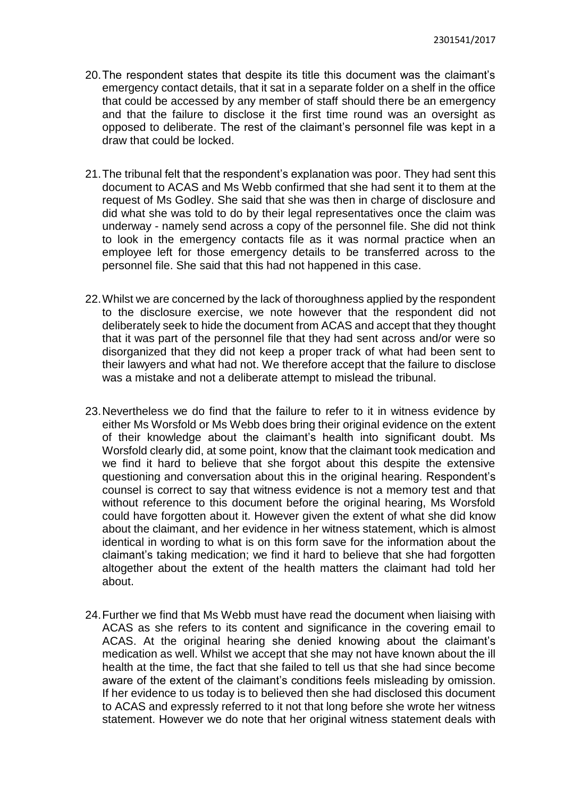- 20.The respondent states that despite its title this document was the claimant's emergency contact details, that it sat in a separate folder on a shelf in the office that could be accessed by any member of staff should there be an emergency and that the failure to disclose it the first time round was an oversight as opposed to deliberate. The rest of the claimant's personnel file was kept in a draw that could be locked.
- 21.The tribunal felt that the respondent's explanation was poor. They had sent this document to ACAS and Ms Webb confirmed that she had sent it to them at the request of Ms Godley. She said that she was then in charge of disclosure and did what she was told to do by their legal representatives once the claim was underway - namely send across a copy of the personnel file. She did not think to look in the emergency contacts file as it was normal practice when an employee left for those emergency details to be transferred across to the personnel file. She said that this had not happened in this case.
- 22.Whilst we are concerned by the lack of thoroughness applied by the respondent to the disclosure exercise, we note however that the respondent did not deliberately seek to hide the document from ACAS and accept that they thought that it was part of the personnel file that they had sent across and/or were so disorganized that they did not keep a proper track of what had been sent to their lawyers and what had not. We therefore accept that the failure to disclose was a mistake and not a deliberate attempt to mislead the tribunal.
- 23.Nevertheless we do find that the failure to refer to it in witness evidence by either Ms Worsfold or Ms Webb does bring their original evidence on the extent of their knowledge about the claimant's health into significant doubt. Ms Worsfold clearly did, at some point, know that the claimant took medication and we find it hard to believe that she forgot about this despite the extensive questioning and conversation about this in the original hearing. Respondent's counsel is correct to say that witness evidence is not a memory test and that without reference to this document before the original hearing, Ms Worsfold could have forgotten about it. However given the extent of what she did know about the claimant, and her evidence in her witness statement, which is almost identical in wording to what is on this form save for the information about the claimant's taking medication; we find it hard to believe that she had forgotten altogether about the extent of the health matters the claimant had told her about.
- 24.Further we find that Ms Webb must have read the document when liaising with ACAS as she refers to its content and significance in the covering email to ACAS. At the original hearing she denied knowing about the claimant's medication as well. Whilst we accept that she may not have known about the ill health at the time, the fact that she failed to tell us that she had since become aware of the extent of the claimant's conditions feels misleading by omission. If her evidence to us today is to believed then she had disclosed this document to ACAS and expressly referred to it not that long before she wrote her witness statement. However we do note that her original witness statement deals with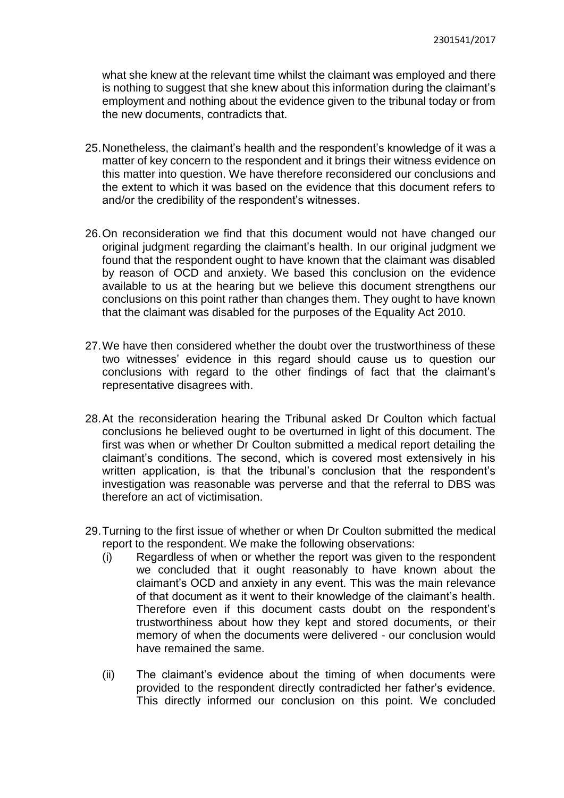what she knew at the relevant time whilst the claimant was employed and there is nothing to suggest that she knew about this information during the claimant's employment and nothing about the evidence given to the tribunal today or from the new documents, contradicts that.

- 25.Nonetheless, the claimant's health and the respondent's knowledge of it was a matter of key concern to the respondent and it brings their witness evidence on this matter into question. We have therefore reconsidered our conclusions and the extent to which it was based on the evidence that this document refers to and/or the credibility of the respondent's witnesses.
- 26.On reconsideration we find that this document would not have changed our original judgment regarding the claimant's health. In our original judgment we found that the respondent ought to have known that the claimant was disabled by reason of OCD and anxiety. We based this conclusion on the evidence available to us at the hearing but we believe this document strengthens our conclusions on this point rather than changes them. They ought to have known that the claimant was disabled for the purposes of the Equality Act 2010.
- 27.We have then considered whether the doubt over the trustworthiness of these two witnesses' evidence in this regard should cause us to question our conclusions with regard to the other findings of fact that the claimant's representative disagrees with.
- 28.At the reconsideration hearing the Tribunal asked Dr Coulton which factual conclusions he believed ought to be overturned in light of this document. The first was when or whether Dr Coulton submitted a medical report detailing the claimant's conditions. The second, which is covered most extensively in his written application, is that the tribunal's conclusion that the respondent's investigation was reasonable was perverse and that the referral to DBS was therefore an act of victimisation.
- 29.Turning to the first issue of whether or when Dr Coulton submitted the medical report to the respondent. We make the following observations:
	- (i) Regardless of when or whether the report was given to the respondent we concluded that it ought reasonably to have known about the claimant's OCD and anxiety in any event. This was the main relevance of that document as it went to their knowledge of the claimant's health. Therefore even if this document casts doubt on the respondent's trustworthiness about how they kept and stored documents, or their memory of when the documents were delivered - our conclusion would have remained the same.
	- (ii) The claimant's evidence about the timing of when documents were provided to the respondent directly contradicted her father's evidence. This directly informed our conclusion on this point. We concluded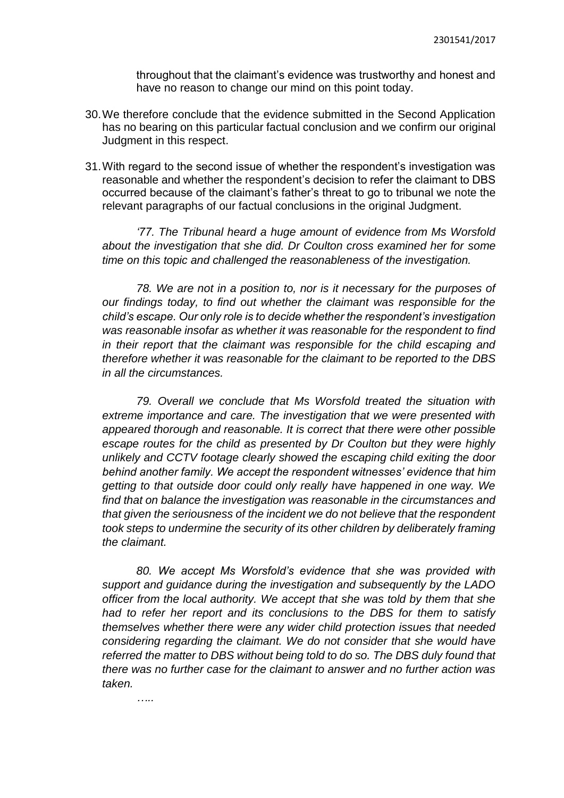throughout that the claimant's evidence was trustworthy and honest and have no reason to change our mind on this point today.

- 30.We therefore conclude that the evidence submitted in the Second Application has no bearing on this particular factual conclusion and we confirm our original Judgment in this respect.
- 31.With regard to the second issue of whether the respondent's investigation was reasonable and whether the respondent's decision to refer the claimant to DBS occurred because of the claimant's father's threat to go to tribunal we note the relevant paragraphs of our factual conclusions in the original Judgment.

*'77. The Tribunal heard a huge amount of evidence from Ms Worsfold about the investigation that she did. Dr Coulton cross examined her for some time on this topic and challenged the reasonableness of the investigation.* 

*78. We are not in a position to, nor is it necessary for the purposes of our findings today, to find out whether the claimant was responsible for the child's escape. Our only role is to decide whether the respondent's investigation was reasonable insofar as whether it was reasonable for the respondent to find in their report that the claimant was responsible for the child escaping and therefore whether it was reasonable for the claimant to be reported to the DBS in all the circumstances.*

*79. Overall we conclude that Ms Worsfold treated the situation with extreme importance and care. The investigation that we were presented with appeared thorough and reasonable. It is correct that there were other possible escape routes for the child as presented by Dr Coulton but they were highly unlikely and CCTV footage clearly showed the escaping child exiting the door behind another family. We accept the respondent witnesses' evidence that him getting to that outside door could only really have happened in one way. We find that on balance the investigation was reasonable in the circumstances and that given the seriousness of the incident we do not believe that the respondent took steps to undermine the security of its other children by deliberately framing the claimant.* 

*80. We accept Ms Worsfold's evidence that she was provided with support and guidance during the investigation and subsequently by the LADO officer from the local authority. We accept that she was told by them that she had to refer her report and its conclusions to the DBS for them to satisfy themselves whether there were any wider child protection issues that needed considering regarding the claimant. We do not consider that she would have referred the matter to DBS without being told to do so. The DBS duly found that there was no further case for the claimant to answer and no further action was taken.*

*…..*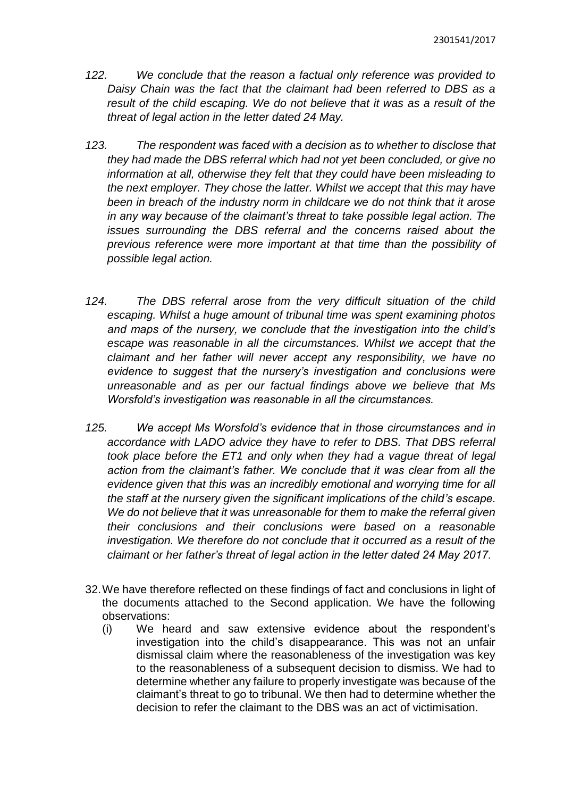- *122. We conclude that the reason a factual only reference was provided to Daisy Chain was the fact that the claimant had been referred to DBS as a result of the child escaping. We do not believe that it was as a result of the threat of legal action in the letter dated 24 May.*
- *123. The respondent was faced with a decision as to whether to disclose that they had made the DBS referral which had not yet been concluded, or give no information at all, otherwise they felt that they could have been misleading to the next employer. They chose the latter. Whilst we accept that this may have been in breach of the industry norm in childcare we do not think that it arose in any way because of the claimant's threat to take possible legal action. The issues surrounding the DBS referral and the concerns raised about the previous reference were more important at that time than the possibility of possible legal action.*
- *124. The DBS referral arose from the very difficult situation of the child escaping. Whilst a huge amount of tribunal time was spent examining photos and maps of the nursery, we conclude that the investigation into the child's escape was reasonable in all the circumstances. Whilst we accept that the claimant and her father will never accept any responsibility, we have no evidence to suggest that the nursery's investigation and conclusions were unreasonable and as per our factual findings above we believe that Ms Worsfold's investigation was reasonable in all the circumstances.*
- *125. We accept Ms Worsfold's evidence that in those circumstances and in accordance with LADO advice they have to refer to DBS. That DBS referral took place before the ET1 and only when they had a vague threat of legal action from the claimant's father. We conclude that it was clear from all the evidence given that this was an incredibly emotional and worrying time for all the staff at the nursery given the significant implications of the child's escape. We do not believe that it was unreasonable for them to make the referral given their conclusions and their conclusions were based on a reasonable investigation. We therefore do not conclude that it occurred as a result of the claimant or her father's threat of legal action in the letter dated 24 May 2017.*
- 32.We have therefore reflected on these findings of fact and conclusions in light of the documents attached to the Second application. We have the following observations:
	- (i) We heard and saw extensive evidence about the respondent's investigation into the child's disappearance. This was not an unfair dismissal claim where the reasonableness of the investigation was key to the reasonableness of a subsequent decision to dismiss. We had to determine whether any failure to properly investigate was because of the claimant's threat to go to tribunal. We then had to determine whether the decision to refer the claimant to the DBS was an act of victimisation.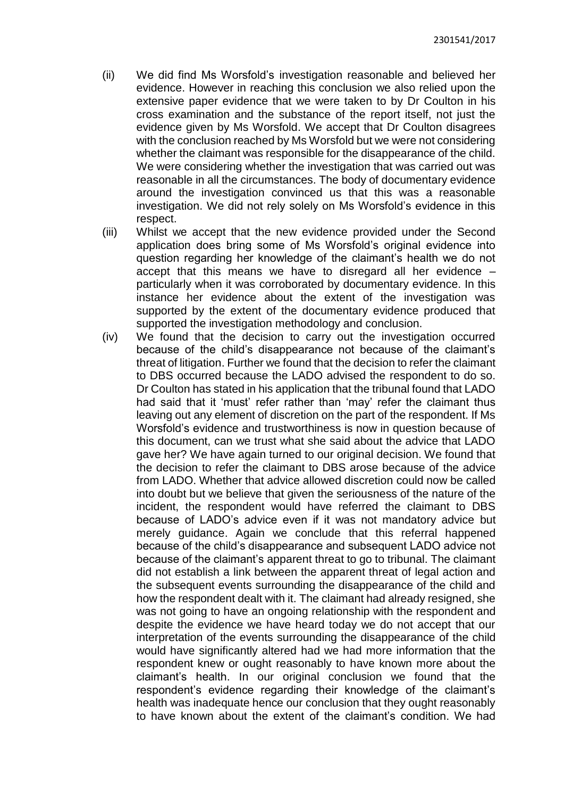- (ii) We did find Ms Worsfold's investigation reasonable and believed her evidence. However in reaching this conclusion we also relied upon the extensive paper evidence that we were taken to by Dr Coulton in his cross examination and the substance of the report itself, not just the evidence given by Ms Worsfold. We accept that Dr Coulton disagrees with the conclusion reached by Ms Worsfold but we were not considering whether the claimant was responsible for the disappearance of the child. We were considering whether the investigation that was carried out was reasonable in all the circumstances. The body of documentary evidence around the investigation convinced us that this was a reasonable investigation. We did not rely solely on Ms Worsfold's evidence in this respect.
- (iii) Whilst we accept that the new evidence provided under the Second application does bring some of Ms Worsfold's original evidence into question regarding her knowledge of the claimant's health we do not accept that this means we have to disregard all her evidence – particularly when it was corroborated by documentary evidence. In this instance her evidence about the extent of the investigation was supported by the extent of the documentary evidence produced that supported the investigation methodology and conclusion.
- (iv) We found that the decision to carry out the investigation occurred because of the child's disappearance not because of the claimant's threat of litigation. Further we found that the decision to refer the claimant to DBS occurred because the LADO advised the respondent to do so. Dr Coulton has stated in his application that the tribunal found that LADO had said that it 'must' refer rather than 'may' refer the claimant thus leaving out any element of discretion on the part of the respondent. If Ms Worsfold's evidence and trustworthiness is now in question because of this document, can we trust what she said about the advice that LADO gave her? We have again turned to our original decision. We found that the decision to refer the claimant to DBS arose because of the advice from LADO. Whether that advice allowed discretion could now be called into doubt but we believe that given the seriousness of the nature of the incident, the respondent would have referred the claimant to DBS because of LADO's advice even if it was not mandatory advice but merely guidance. Again we conclude that this referral happened because of the child's disappearance and subsequent LADO advice not because of the claimant's apparent threat to go to tribunal. The claimant did not establish a link between the apparent threat of legal action and the subsequent events surrounding the disappearance of the child and how the respondent dealt with it. The claimant had already resigned, she was not going to have an ongoing relationship with the respondent and despite the evidence we have heard today we do not accept that our interpretation of the events surrounding the disappearance of the child would have significantly altered had we had more information that the respondent knew or ought reasonably to have known more about the claimant's health. In our original conclusion we found that the respondent's evidence regarding their knowledge of the claimant's health was inadequate hence our conclusion that they ought reasonably to have known about the extent of the claimant's condition. We had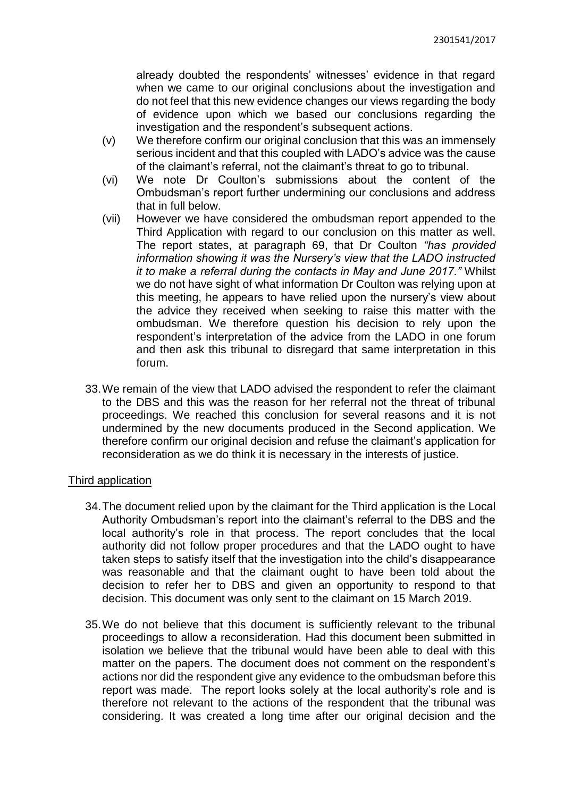already doubted the respondents' witnesses' evidence in that regard when we came to our original conclusions about the investigation and do not feel that this new evidence changes our views regarding the body of evidence upon which we based our conclusions regarding the investigation and the respondent's subsequent actions.

- (v) We therefore confirm our original conclusion that this was an immensely serious incident and that this coupled with LADO's advice was the cause of the claimant's referral, not the claimant's threat to go to tribunal.
- (vi) We note Dr Coulton's submissions about the content of the Ombudsman's report further undermining our conclusions and address that in full below.
- (vii) However we have considered the ombudsman report appended to the Third Application with regard to our conclusion on this matter as well. The report states, at paragraph 69, that Dr Coulton *"has provided information showing it was the Nursery's view that the LADO instructed it to make a referral during the contacts in May and June 2017."* Whilst we do not have sight of what information Dr Coulton was relying upon at this meeting, he appears to have relied upon the nursery's view about the advice they received when seeking to raise this matter with the ombudsman. We therefore question his decision to rely upon the respondent's interpretation of the advice from the LADO in one forum and then ask this tribunal to disregard that same interpretation in this forum.
- 33.We remain of the view that LADO advised the respondent to refer the claimant to the DBS and this was the reason for her referral not the threat of tribunal proceedings. We reached this conclusion for several reasons and it is not undermined by the new documents produced in the Second application. We therefore confirm our original decision and refuse the claimant's application for reconsideration as we do think it is necessary in the interests of justice.

### Third application

- 34.The document relied upon by the claimant for the Third application is the Local Authority Ombudsman's report into the claimant's referral to the DBS and the local authority's role in that process. The report concludes that the local authority did not follow proper procedures and that the LADO ought to have taken steps to satisfy itself that the investigation into the child's disappearance was reasonable and that the claimant ought to have been told about the decision to refer her to DBS and given an opportunity to respond to that decision. This document was only sent to the claimant on 15 March 2019.
- 35.We do not believe that this document is sufficiently relevant to the tribunal proceedings to allow a reconsideration. Had this document been submitted in isolation we believe that the tribunal would have been able to deal with this matter on the papers. The document does not comment on the respondent's actions nor did the respondent give any evidence to the ombudsman before this report was made. The report looks solely at the local authority's role and is therefore not relevant to the actions of the respondent that the tribunal was considering. It was created a long time after our original decision and the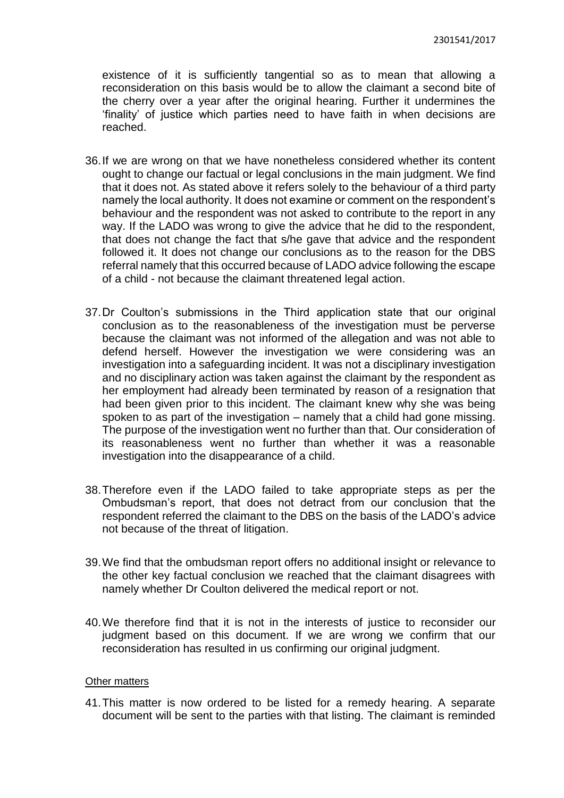existence of it is sufficiently tangential so as to mean that allowing a reconsideration on this basis would be to allow the claimant a second bite of the cherry over a year after the original hearing. Further it undermines the 'finality' of justice which parties need to have faith in when decisions are reached.

- 36.If we are wrong on that we have nonetheless considered whether its content ought to change our factual or legal conclusions in the main judgment. We find that it does not. As stated above it refers solely to the behaviour of a third party namely the local authority. It does not examine or comment on the respondent's behaviour and the respondent was not asked to contribute to the report in any way. If the LADO was wrong to give the advice that he did to the respondent, that does not change the fact that s/he gave that advice and the respondent followed it. It does not change our conclusions as to the reason for the DBS referral namely that this occurred because of LADO advice following the escape of a child - not because the claimant threatened legal action.
- 37.Dr Coulton's submissions in the Third application state that our original conclusion as to the reasonableness of the investigation must be perverse because the claimant was not informed of the allegation and was not able to defend herself. However the investigation we were considering was an investigation into a safeguarding incident. It was not a disciplinary investigation and no disciplinary action was taken against the claimant by the respondent as her employment had already been terminated by reason of a resignation that had been given prior to this incident. The claimant knew why she was being spoken to as part of the investigation – namely that a child had gone missing. The purpose of the investigation went no further than that. Our consideration of its reasonableness went no further than whether it was a reasonable investigation into the disappearance of a child.
- 38.Therefore even if the LADO failed to take appropriate steps as per the Ombudsman's report, that does not detract from our conclusion that the respondent referred the claimant to the DBS on the basis of the LADO's advice not because of the threat of litigation.
- 39.We find that the ombudsman report offers no additional insight or relevance to the other key factual conclusion we reached that the claimant disagrees with namely whether Dr Coulton delivered the medical report or not.
- 40.We therefore find that it is not in the interests of justice to reconsider our judgment based on this document. If we are wrong we confirm that our reconsideration has resulted in us confirming our original judgment.

#### Other matters

41.This matter is now ordered to be listed for a remedy hearing. A separate document will be sent to the parties with that listing. The claimant is reminded